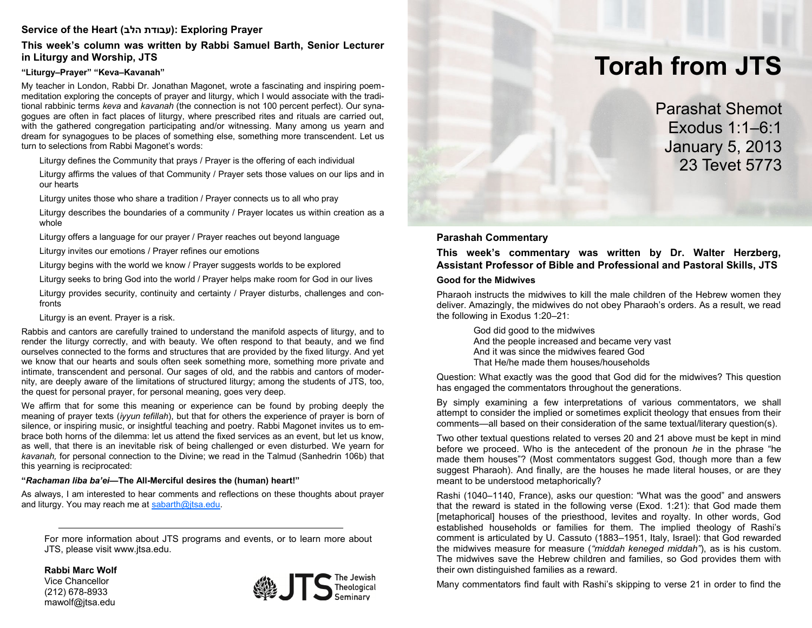# **Service of the Heart (הלב עבודת(: Exploring Prayer**

## **This week's column was written by Rabbi Samuel Barth, Senior Lecturer in Liturgy and Worship, JTS**

### **"Liturgy–Prayer" "Keva–Kavanah"**

My teacher in London, Rabbi Dr. Jonathan Magonet, wrote a fascinating and inspiring poemmeditation exploring the concepts of prayer and liturgy, which I would associate with the traditional rabbinic terms *keva* and *kavanah* (the connection is not 100 percent perfect). Our synagogues are often in fact places of liturgy, where prescribed rites and rituals are carried out, with the gathered congregation participating and/or witnessing. Many among us yearn and dream for synagogues to be places of something else, something more transcendent. Let us turn to selections from Rabbi Magonet's words:

Liturgy defines the Community that prays / Prayer is the offering of each individual

Liturgy affirms the values of that Community / Prayer sets those values on our lips and in our hearts

Liturgy unites those who share a tradition / Prayer connects us to all who pray

Liturgy describes the boundaries of a community / Prayer locates us within creation as a whole

Liturgy offers a language for our prayer / Prayer reaches out beyond language

Liturgy invites our emotions / Prayer refines our emotions

Liturgy begins with the world we know / Prayer suggests worlds to be explored

Liturgy seeks to bring God into the world / Prayer helps make room for God in our lives

Liturgy provides security, continuity and certainty / Prayer disturbs, challenges and confronts

Liturgy is an event. Prayer is a risk.

Rabbis and cantors are carefully trained to understand the manifold aspects of liturgy, and to render the liturgy correctly, and with beauty. We often respond to that beauty, and we find ourselves connected to the forms and structures that are provided by the fixed liturgy. And yet we know that our hearts and souls often seek something more, something more private and intimate, transcendent and personal. Our sages of old, and the rabbis and cantors of modernity, are deeply aware of the limitations of structured liturgy; among the students of JTS, too, the quest for personal prayer, for personal meaning, goes very deep.

We affirm that for some this meaning or experience can be found by probing deeply the meaning of prayer texts (*iyyun tefillah*), but that for others the experience of prayer is born of silence, or inspiring music, or insightful teaching and poetry. Rabbi Magonet invites us to embrace both horns of the dilemma: let us attend the fixed services as an event, but let us know, as well, that there is an inevitable risk of being challenged or even disturbed. We yearn for *kavanah,* for personal connection to the Divine; we read in the Talmud (Sanhedrin 106b) that this yearning is reciprocated:

### **"***Rachaman liba ba'ei—***The All-Merciful desires the (human) heart!"**

As always, I am interested to hear comments and reflections on these thoughts about prayer and liturgy. You may reach me at [sabarth@jtsa.edu.](mailto:sabarth@jtsa.edu)

For more information about JTS programs and events, or to learn more about JTS, please visit www.jtsa.edu.

**Rabbi Marc Wolf** Vice Chancellor (212) 678-8933 mawolf@jtsa.edu



# **Torah from JTS**

Parashat Shemot Exodus 1:1–6:1 January 5, 2013 23 Tevet 5773

# **Parashah Commentary**

**This week's commentary was written by Dr. Walter Herzberg, Assistant Professor of Bible and Professional and Pastoral Skills, JTS**

### **Good for the Midwives**

Pharaoh instructs the midwives to kill the male children of the Hebrew women they deliver. Amazingly, the midwives do not obey Pharaoh's orders. As a result, we read the following in Exodus 1:20–21:

> God did good to the midwives And the people increased and became very vast And it was since the midwives feared God That He/he made them houses/households

Question: What exactly was the good that God did for the midwives? This question has engaged the commentators throughout the generations.

By simply examining a few interpretations of various commentators, we shall attempt to consider the implied or sometimes explicit theology that ensues from their comments—all based on their consideration of the same textual/literary question(s).

Two other textual questions related to verses 20 and 21 above must be kept in mind before we proceed. Who is the antecedent of the pronoun *he* in the phrase "he made them houses"? (Most commentators suggest God, though more than a few suggest Pharaoh). And finally, are the houses he made literal houses, or are they meant to be understood metaphorically?

Rashi (1040–1140, France), asks our question: "What was the good" and answers that the reward is stated in the following verse (Exod. 1:21): that God made them [metaphorical] houses of the priesthood, levites and royalty. In other words, God established households or families for them. The implied theology of Rashi's comment is articulated by U. Cassuto (1883–1951, Italy, Israel): that God rewarded the midwives measure for measure (*"middah keneged middah"*), as is his custom. The midwives save the Hebrew children and families, so God provides them with their own distinguished families as a reward.

Many commentators find fault with Rashi's skipping to verse 21 in order to find the